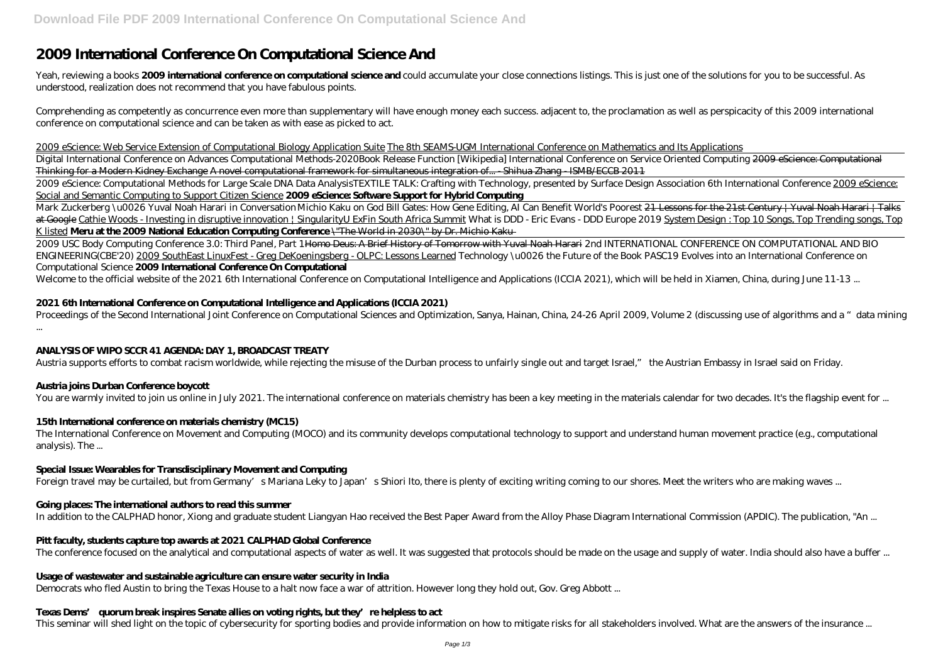# **2009 International Conference On Computational Science And**

Yeah, reviewing a books **2009 international conference on computational science and** could accumulate your close connections listings. This is just one of the solutions for you to be successful. As understood, realization does not recommend that you have fabulous points.

Comprehending as competently as concurrence even more than supplementary will have enough money each success. adjacent to, the proclamation as well as perspicacity of this 2009 international conference on computational science and can be taken as with ease as picked to act.

2009 eScience: Web Service Extension of Computational Biology Application Suite The 8th SEAMS-UGM International Conference on Mathematics and Its Applications

Mark Zuckerberg \u0026 Yuval Noah Harari in Conversation *Michio Kaku on God Bill Gates: How Gene Editing, AI Can Benefit World's Poorest <del>21 Lessons for the 21st Century | Yuval Noah Harari | Talks</del>* at Google Cathie Woods - Investing in disruptive innovation | SingularityU ExFin South Africa Summit *What is DDD - Eric Evans - DDD Europe 2019* System Design : Top 10 Songs, Top Trending songs, Top K listed **Meru at the 2009 National Education Computing Conference** \"The World in 2030\" by Dr. Michio Kaku

Digital International Conference on Advances Computational Methods-2020*Book Release Function [Wikipedia] International Conference on Service Oriented Computing* 2009 eScience: Computational Thinking for a Modern Kidney Exchange A novel computational framework for simultaneous integration of... - Shihua Zhang - ISMB/ECCB 2011

2009 USC Body Computing Conference 3.0: Third Panel, Part 1 Homo Deus: A Brief History of Tomorrow with Yuval Noah Harari 2nd INTERNATIONAL CONFERENCE ON COMPUTATIONAL AND BIO ENGINEERING(CBE'20) 2009 SouthEast LinuxFest - Greg DeKoeningsberg - OLPC: Lessons Learned Technology \u0026 the Future of the Book PASC19 Evolves into an International Conference on Computational Science **2009 International Conference On Computational**

Welcome to the official website of the 2021 6th International Conference on Computational Intelligence and Applications (ICCIA 2021), which will be held in Xiamen, China, during June 11-13 ...

2009 eScience: Computational Methods for Large Scale DNA Data Analysis*TEXTILE TALK: Crafting with Technology, presented by Surface Design Association 6th International Conference* 2009 eScience: Social and Semantic Computing to Support Citizen Science **2009 eScience: Software Support for Hybrid Computing**

# **2021 6th International Conference on Computational Intelligence and Applications (ICCIA 2021)**

Proceedings of the Second International Joint Conference on Computational Sciences and Optimization, Sanya, Hainan, China, 24-26 April 2009, Volume 2 (discussing use of algorithms and a "data mining ...

# **ANALYSIS OF WIPO SCCR 41 AGENDA: DAY 1, BROADCAST TREATY**

Austria supports efforts to combat racism worldwide, while rejecting the misuse of the Durban process to unfairly single out and target Israel," the Austrian Embassy in Israel said on Friday.

# **Austria joins Durban Conference boycott**

You are warmly invited to join us online in July 2021. The international conference on materials chemistry has been a key meeting in the materials calendar for two decades. It's the flagship event for ...

# **15th International conference on materials chemistry (MC15)**

The International Conference on Movement and Computing (MOCO) and its community develops computational technology to support and understand human movement practice (e.g., computational analysis). The ...

#### **Special Issue: Wearables for Transdisciplinary Movement and Computing**

Foreign travel may be curtailed, but from Germany's Mariana Leky to Japan's Shiori Ito, there is plenty of exciting writing coming to our shores. Meet the writers who are making waves ...

# **Going places: The international authors to read this summer**

In addition to the CALPHAD honor, Xiong and graduate student Liangyan Hao received the Best Paper Award from the Alloy Phase Diagram International Commission (APDIC). The publication, "An ...

#### **Pitt faculty, students capture top awards at 2021 CALPHAD Global Conference**

The conference focused on the analytical and computational aspects of water as well. It was suggested that protocols should be made on the usage and supply of water. India should also have a buffer ...

#### **Usage of wastewater and sustainable agriculture can ensure water security in India**

Democrats who fled Austin to bring the Texas House to a halt now face a war of attrition. However long they hold out, Gov. Greg Abbott ...

# **Texas Dems' quorum break inspires Senate allies on voting rights, but they're helpless to act**

This seminar will shed light on the topic of cybersecurity for sporting bodies and provide information on how to mitigate risks for all stakeholders involved. What are the answers of the insurance ...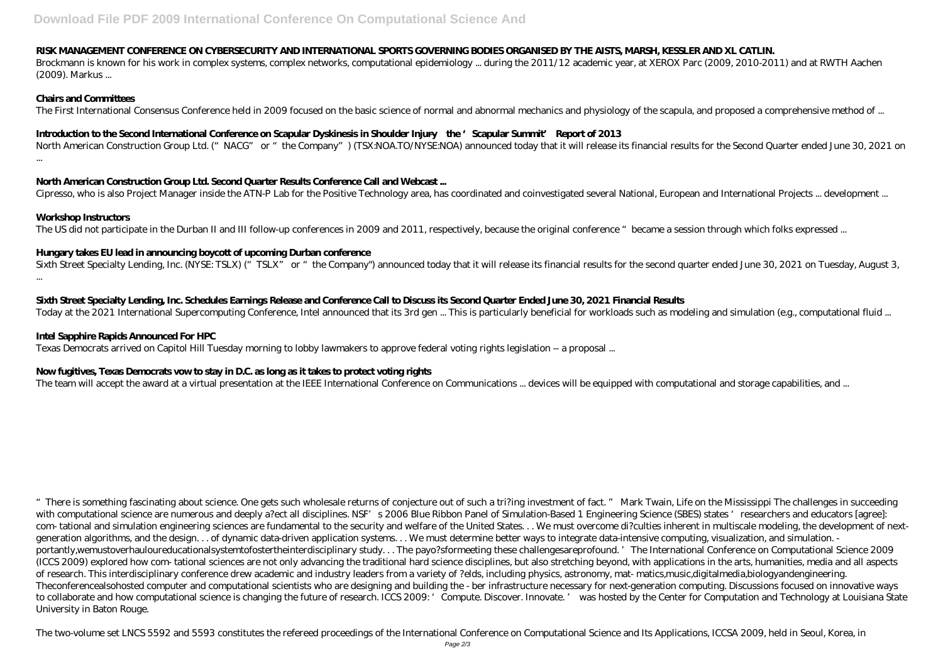#### **RISK MANAGEMENT CONFERENCE ON CYBERSECURITY AND INTERNATIONAL SPORTS GOVERNING BODIES ORGANISED BY THE AISTS, MARSH, KESSLER AND XL CATLIN.**

Brockmann is known for his work in complex systems, complex networks, computational epidemiology ... during the 2011/12 academic year, at XEROX Parc (2009, 2010-2011) and at RWTH Aachen (2009). Markus ...

#### **Chairs and Committees**

The First International Consensus Conference held in 2009 focused on the basic science of normal and abnormal mechanics and physiology of the scapula, and proposed a comprehensive method of ...

North American Construction Group Ltd. ("NACG" or "the Company") (TSX:NOA.TO/NYSE:NOA) announced today that it will release its financial results for the Second Quarter ended June 30, 2021 on ...

### **Introduction to the Second International Conference on Scapular Dyskinesis in Shoulder Injury—the 'Scapular Summit' Report of 2013**

Sixth Street Specialty Lending, Inc. (NYSE: TSLX) ("TSLX" or "the Company") announced today that it will release its financial results for the second quarter ended June 30, 2021 on Tuesday, August 3, ...

# **North American Construction Group Ltd. Second Quarter Results Conference Call and Webcast ...**

Cipresso, who is also Project Manager inside the ATN-P Lab for the Positive Technology area, has coordinated and coinvestigated several National, European and International Projects ... development ...

#### **Workshop Instructors**

The US did not participate in the Durban II and III follow-up conferences in 2009 and 2011, respectively, because the original conference "became a session through which folks expressed ...

# **Hungary takes EU lead in announcing boycott of upcoming Durban conference**

**Sixth Street Specialty Lending, Inc. Schedules Earnings Release and Conference Call to Discuss its Second Quarter Ended June 30, 2021 Financial Results**

Today at the 2021 International Supercomputing Conference, Intel announced that its 3rd gen ... This is particularly beneficial for workloads such as modeling and simulation (e.g., computational fluid ...

# **Intel Sapphire Rapids Announced For HPC**

Texas Democrats arrived on Capitol Hill Tuesday morning to lobby lawmakers to approve federal voting rights legislation -- a proposal ...

# **Now fugitives, Texas Democrats vow to stay in D.C. as long as it takes to protect voting rights**

The team will accept the award at a virtual presentation at the IEEE International Conference on Communications ... devices will be equipped with computational and storage capabilities, and ...

"There is something fascinating about science. One gets such wholesale returns of conjecture out of such a tri?ing investment of fact. " Mark Twain, Life on the Mississippi The challenges in succeeding with computational science are numerous and deeply a?ect all disciplines. NSF's 2006 Blue Ribbon Panel of Simulation-Based 1 Engineering Science (SBES) states 'researchers and educators [agree]: com- tational and simulation engineering sciences are fundamental to the security and welfare of the United States. . . We must overcome di?culties inherent in multiscale modeling, the development of nextgeneration algorithms, and the design. . . of dynamic data-driven application systems. . . We must determine better ways to integrate data-intensive computing, visualization, and simulation. portantly,wemustoverhauloureducationalsystemtofostertheinterdisciplinary study. . . The payo?sformeeting these challengesareprofound. 'The International Conference on Computational Science 2009 (ICCS 2009) explored how com- tational sciences are not only advancing the traditional hard science disciplines, but also stretching beyond, with applications in the arts, humanities, media and all aspects of research. This interdisciplinary conference drew academic and industry leaders from a variety of ?elds, including physics, astronomy, mat- matics,music,digitalmedia,biologyandengineering. Theconferencealsohosted computer and computational scientists who are designing and building the - ber infrastructure necessary for next-generation computing. Discussions focused on innovative ways to collaborate and how computational science is changing the future of research. ICCS 2009: 'Compute. Discover. Innovate. ' was hosted by the Center for Computation and Technology at Louisiana State University in Baton Rouge.

The two-volume set LNCS 5592 and 5593 constitutes the refereed proceedings of the International Conference on Computational Science and Its Applications, ICCSA 2009, held in Seoul, Korea, in